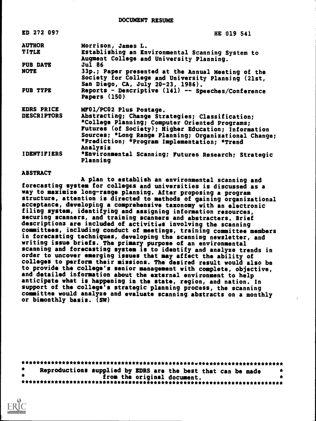| ED 272 097         | HE 019 541                                                                                                                                                                                                                                                                    |
|--------------------|-------------------------------------------------------------------------------------------------------------------------------------------------------------------------------------------------------------------------------------------------------------------------------|
| <b>AUTHOR</b>      | Morrison, James L.                                                                                                                                                                                                                                                            |
| TITLE              | Establishing an Environmental Scanning System to<br>Augment College and University Planning.                                                                                                                                                                                  |
| <b>PUB DATE</b>    | Jul 86                                                                                                                                                                                                                                                                        |
| <b>NOTE</b>        | 33p.; Paper presented at the Annual Meeting of the                                                                                                                                                                                                                            |
|                    | Society for College and University Planning (21st,<br>San Diego, CA, July 20-23, 1986).                                                                                                                                                                                       |
| PUB TYPE           | Reports - Descriptive (141) -- Speeches/Conference<br>Papers (150)                                                                                                                                                                                                            |
| <b>EDRS PRICE</b>  | MF01/PC02 Plus Postage.                                                                                                                                                                                                                                                       |
| <b>DESCRIPTORS</b> | Abstracting; Change Strategies; Classification;<br>*College Planning; Computer Oriented Programs;<br>Futures (of Society); Higher Education; Information<br>Sources; *Long Range Planning; Organizational Change;<br>*Prediction; *Program Implementation; *Trend<br>Analysis |
| <b>IDENTIFIERS</b> | *Environmental Scanning; Futures Research; Strategic<br>Planning                                                                                                                                                                                                              |

#### ABSTRACT

A plan to establish an environmental scanning and forecasting system for colleges and universities is discussed as a way to maximize long-range planning. After proposing a program structure, attention is directed to methods of gaining organizational acceptance, developing a comprehensive taxonomy with an electronic filing system, identifying and assigning information resources, securing scanners, and training scanners and abstracters. Brief descriptions are included of activities involving the scanning committees, including conduct of meetings, training committee members in forecasting techniques, developing the scanning newsletter, and writing issue briefs. The primary purpose of an environmental scanning and forecasting system is to identify and analyze trends in order to uncover emerging issues that may affect the ability of colleges to perform their missions. The desired result would also be to provide the college's senior management with complete, objective, and detailed information about the external environment to help anticipate what is happening in the state, region, and nation. In support of the college's strategic planning process, the scanning committee would analyze and evaluate scanning abstracts on a monthly or bimonthly basis. (SN)

| Reproductions supplied by EDRS are the best that can be made |  |
|--------------------------------------------------------------|--|
| from the original document.                                  |  |
|                                                              |  |

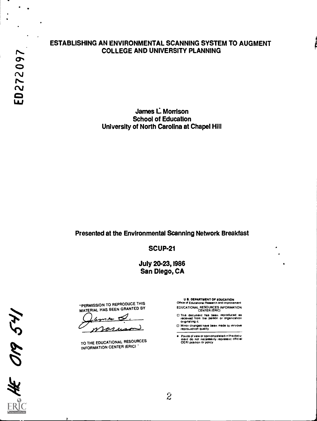$\sum_{i=1}^{n}$ **O** and the set of  $\overline{O}$  $\frac{2}{3}$  $\ddot{a}$ 

#### ESTABLISHING AN ENVIRONMENTAL SCANNING SYSTEM TO AUGMENT COLLEGE AND UNIVERSITY PLANNING

James L. Morrison School of Education University of North Carolina at Chapel Hill

#### Presented at the Environmental Scanning Network Breakfast

SCUP-21

**July 20-23, 1986** San Diego, CA

"PERMISSION TO REPRODUCE THIS MATERIAL HAS BEEN GRANTED BY

TO THE EDUCATIONAL RESOURCES INFORMATION CENTER (ERIC)

U S. DEPARTMENT OF EDUCATION

- Office of Educational Research and improvement EDUCATIONAL RESOURCES INFORMATION CENTER (ERIC)
- This document has been reproduced as received from the person Or organization originating it
- Minor changes have been made to imnrove reprouuction Quality
- Points of view or opinions stated in this docu-ment do not necessarily represent official OE RI position or policy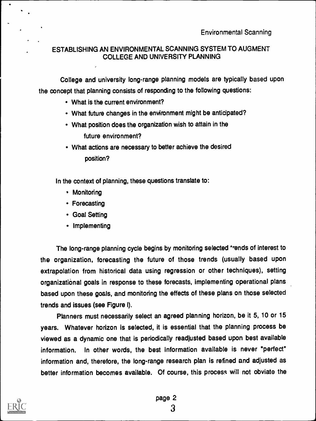# . ESTABLISHING AN ENVIRONMENTAL SCANNING SYSTEM TO AUGMENT COLLEGE AND UNIVERSITY PLANNING

College and university long-range planning models are typically based upon the concept that planning consists of responding to the following questions:

- What is the current environment?
- What future changes in the environment might be anticipated?
- What position does the organization wish to attain in the future environment?
- What actions are necessary to better achieve the desired position?

In the context of planning, these questions translate to:

- Monitoring
- Forecasting
- Goal Setting
- Implementing

The long-range planning cycle begins by monitoring selected 'rends of interest to the organization, forecasting the future of those trends (usually based upon extrapolation from historical data using regression or other techniques), setting organizational goals in response to these forecasts, implementing operational plans based upon these goals, and monitoring the effects of these plans on those selected trends and issues (see Figure I).

Planners must necessarily select an agreed planning horizon, be it 5, 10 or 15 years. Whatever horizon is selected, it is essential that the planning process be viewed as a dynamic one that is periodically readjusted based upon best available information. In other words, the best information available is never "perfect" information and, therefore, the long-range research plan is refined and adjusted as better information becomes available. Of course, this process will not obviate the



A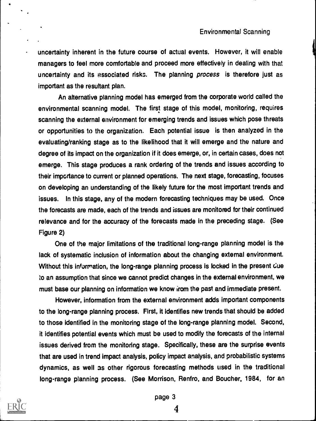uncertainty inherent in the future course of actual events. However, it will enable managers to feel more comfortable and proceed more effectively in dealing with that uncertainty and its associated risks. The planning process is therefore just as important as the resultant plan.

An alternative planning model has emerged from the corporate world called the environmental scanning model. The first stage of this model, monitoring, requires scanning the external environment for emerging trends and issues which pose threats or opportunities to the organization. Each potential issue is then analyzed in the evaluating/ranking stage as to the likelihood that it will emerge and the nature and degree of its impact on the organization if it does emerge, or, in certain cases, does not emerge. This stage produces a rank ordering of the trends and issues according to their importance to current or planned operations. The next stage, forecasting, focuses on developing an understanding of the likely future for the most important trends and issues. In this stage, any of the modern forecasting techniques may be used. Once the forecasts are made, each of the trends and issues are monitored for their continued relevance and for the accuracy of the forecasts made in the preceding stage. (See Figure 2)

One of the major limitations of the traditional long-range planning model is the lack of systematic inclusion of information about the changing external environment. Without this information, the long-range planning process is locked in the present due lo an assumption that since we cannot predict changes in the external environment, we must base our planning on information we know from the past and immediate present.

However, information from the external environment adds important components to the long-range planning process. First, it identifies new trends that should be added to those identified in the monitoring stage of the long-range planning model. Second, it identifies potential events which must be used to modify the forecasts of the internal issues derived from the monitoring stage. Specifically, these are the surprise events that are used in trend impact analysis, policy impact analysis, and probabilistic systems dynamics, as well as other rigorous forecasting methods used in the traditional long-range planning process. (See Morrison, Renfro, and Boucher, 1984, for an

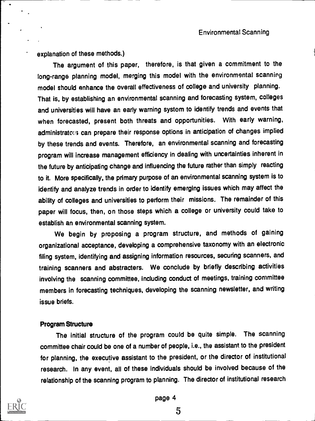explanation of these methods.)

The argument of this paper, therefore, is that given a commitment to the long-range planning model, merging this model with the environmental scanning model should enhance the overall effectiveness of college and university planning. That is, by establishing an environmental scanning and forecasting system, colleges and universities will have an early warning system to identify trends and events that when forecasted, present both threats and opportunities. With early warning, administrate::; can prepare their response options in anticipation of changes implied by these trends and events. Therefore, an environmental scanning and forecasting program will increase management efficiency in dealing with uncertainties inherent in the future by anticipating change and influencing the future rather than simply reacting to it. More specifically, the primary purpose of an environmental scanning system is to identify and analyze trends in order to identify emerging issues which may affect the ability of colleges and universities to perform their missions. The remainder of this paper will focus, then, on those steps which a college or university could take to establish an environmental scanning system.

We begin by proposing a program structure, and methods of gaining organizational acceptance, developing a comprehensive taxonomy with an electronic filing system, identifying and assigning information resources, securing scanners, and training scanners and abstracters. We conclude by briefly describing activities involving the scanning committee, including conduct of meetings, training committee members in forecasting techniques, developing the scanning newsletter, and writing issue briefs.

#### Program Structure

The initial structure of the program could be quite simple. The scanning committee chair could be one of a number of people, i.e., the assistant to the president for planning, the executive assistant to the president, or the director of institutional research. In any event, all of these individuals should be involved because of the relationship of the scanning program to planning. The director of institutional research



page 4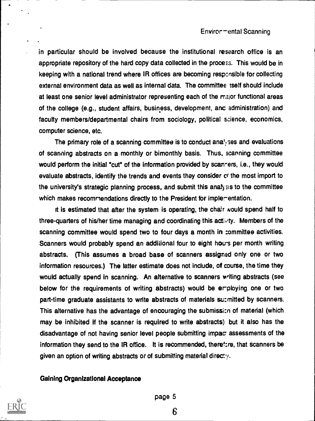#### Enviror - ental Scanning

in particular should be involved because the institutional research office is an appropriate repository of the hard copy data collected in the process. This would be in keeping with a national trend where IR offices are becoming resp:nsible for collecting external environment data as well as internal data. The committee tself should include at least one senior level administrator representing each of the major functional areas of the college (e.g., student affairs, business, development, arc administration) and faculty members/departmental chairs from sociology, political science, economics, computer science, etc.

The primary role of a scanning committee is to conduct ana<sup>t</sup> ses and evaluations of scanning abstracts on a monthly or bimonthly basis. Thus, scanning committee would perform the initial "cut" of the information provided by scan-ers, i.e., they would evaluate abstracts, identify the trends and events they consider ci the most import to the university's strategic planning process, and submit this anafysis to the committee which makes recommendations directly to the President for implementation.

It is estimated that after the system is operating, the chair would spend half to three-quarters of his/her time managing and coordinating this  $\text{acc}_{i}$  ity. Members of the scanning committee would spend two to four days a month in :ommittee activities. Scanners would probably spend an additional four to eight hours per month writing abstracts. (This assumes a broad base of scanners assigned only one or two information resources.) The latter estimate does not include, of course, the time they would actually spend in scanning. An alternative to scanners writing abstracts (see below for the requirements of writing abstracts) would be erploying one or two part-time graduate assistants to write abstracts of materials surmitted by scanners. This alternative has the advantage of encouraging the submissi:n of material (which may be inhibited if the scanner is required to write abstracts) but it also has the disadvantage of not having senior level people submitting impac assessments of the information they send to the IR office. It is recommended, theref:re, that scanners be given an option of writing abstracts or of submitting material directy.

#### Gaining Organizational Acceptance



page 5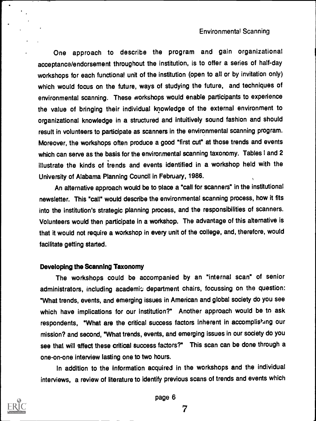One approach to describe the program and gain organizational acceptance/endorsement throughout the institution, is to offer a series of half-day workshops for each functional unit of the institution (open to all or by invitation only) which would focus on the future, ways of studying the future, and techniques of environmental scanning. These workshops would enable participants to experience the value of bringing their individual knowledge of the external environment to organizational knowledge in a structured and intuitively sound fashion and should result in volunteers to participate as scanners in the environmental scanning program. Moreover, the workshops often produce a good "first cut" at those trends and events which can serve as the basis for the environmental scanning taxonomy. Tables I and 2 illustrate the kinds of trends and events identified in a workshop held with the University of Alabama Planning Council in February, 1986.

An alternative approach would be to place a "call for scanners" in the institutional newsletter. This "call" would describe the environmental scanning process, how it fits into the institution's strategic planning process, and the responsibilities of scanners. Volunteers would then participate in a workshop. The advantage of this alternative is that it would not require a workshop in every unit of the college, and, therefore, would facilitate getting started.

#### Developing the Scanning Taxonomy

The workshops could be accompanied by an "internal scan" of senior administrators, including academic department chairs, focussing on the question: "What trends, events, and emerging issues in American and global society do you see which have implications for our institution?" Another approach would be to ask respondents, "What are the critical success factors inherent in accomplishing our mission? and second, "What trends, events, and emerging issues in our society do you see that will affect these critical success factors?" This scan can be done through a one-on-one interview lasting one to two hours.

In addition to the information acquired in the workshops and the individual interviews, a review of literature to identify previous scans of trends and events which



page 6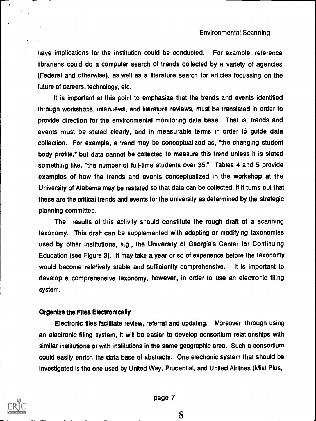have implications for the institution could be conducted. For example, reference librarians could do a computer search of trends collected by a variety of agencies (Federal and otherwise), as well as a literature search for articles focussing on the future of careers, technology, etc.

It is important at this point to emphasize that the trends and events identified through workshops, interviews, and literature reviews, must be translated in order to provide direction for the environmental monitoring data base. That is, trends and events must be stated clearly, and in measurable terms in order to guide data collection. For example, a trend may be conceptualized as, "the changing student body profile," but data cannot be collected to measure this trend unless it is stated something like, "the number of full-time students over 35." Tables 4 and 5 provide examples of how the trends and events conceptualized in the workshop at the University of Alabama may be restated so that data can be collected, if it turns out that these are the critical trends and events for the university as determined by the strategic planning committee.

The results of this activity should constitute the rough draft of a scanning taxonomy. This draft can be supplemented with adopting or modifying taxonomies used by other institutions, e.g., the University of Georgia's Center for Continuing Education (see Figure 3). It may take a year or so of experience before the taxonomy would become rele'ively stable and sufficiently comprehensive. It is important to develop a comprehensive taxonomy, however, in order to use an electronic filing system.

## Organize the Files Electronically

Electronic files facilitate review, referral and updating. Moreover, through using an electronic filing system, it will be easier to develop consortium relationships with similar institutions or with institutions in the same geographic area. Such a consortium could easily enrich the data base of abstracts. One electronic system that should be investigated is the one used by United Way, Prudential, and United Airlines (Mist Plus,



page 7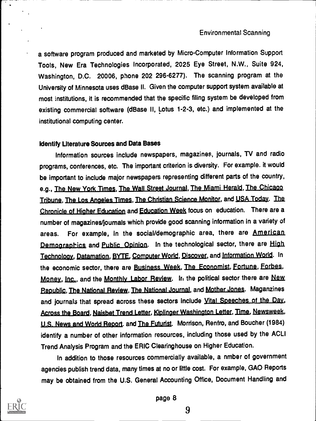a software program produced and marketed by Micro-Computer Information Support Tools, New Era Technologies Incorporated, 2025 Eye Street, N.W., Suite 924, Washington, D.C. 20006, phone 202 296-6277). The scanning program at the University of Minnesota uses dBase II. Given the computer support system available at most institutions, it is recommended that the specific filing system be developed from existing commercial software (dBase II, Lotus 1-2-3, etc.) and implemented at the institutional computing center.

## Identify Literature Sources and Data Bases

Information sources include newspapers, magazines, journals, TV and radio programs, conferences, etc. The important criterion is diversity. For example. it would be important to include major newspapers representing different parts of the country, e.g., The New York Times, The Wall Street Journal, The Miami Herald, The Chicago Tribune, The Los Angeles Times, The Christian Science Monitor, and USA Today. The Chronicle of Higher Education and Education Week focus on education. There are a number of magazines/joumals which provide good scanning information in a variety of areas. For example, in the social/demographic area, there are American Demographics and Public Opinion. In the technological sector, there are High Technology, Datamation, BYTE, Computer World, Discover, and Information World. In the economic sector, there are Business Week, The Economist, Fortune, Forbes, Money, Inc., and the Monthly Labor Review. In the political sector there are New Republic, The National Review, The National Journal, and Mother Jones. Maganzines and journals that spread across these sectors include Vital Speeches of the Day, Across the Board, Naisbet Trend Letter, Kiplinger Washington Letter, Time, Newsweek, U.S. News and World Report. and The Futurist. Morrison, Renfro, and Boucher (1984) identify a number of other information resources, including those used by the ACLI Trend Analysis Program and the ERIC Clearinghouse on Higher Education.

In addition to those resources commercially available, a nmber of government agencies publish trend data, many times at no or little cost. For example, GAO Reports may be obtained from the U.S. General Accounting Office, Document Handling and

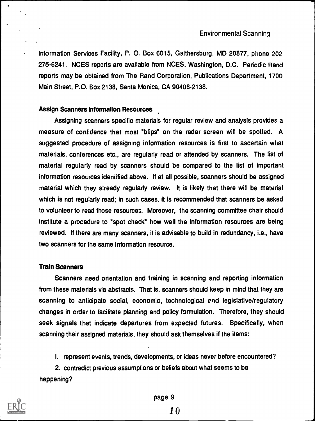Information Services Facility, P. 0. Box 6015, Gaithersburg, MD 20877, phone 202 275-6241. NCES reports are available from NCES, Washington, D.C. Periodic Rand reports may be obtained from The Rand Corporation, Publications Department, 1700 Main Street, P.O. Box 2138, Santa Monica, CA 90406-2138.

## Assign Scanners Information Resources

Assigning scanners specific materials for regular review and analysis provides a measure of confidence that most "blips" on the radar screen will be spotted. A suggested procedure of assigning information resources is first to ascertain what materials, conferences etc., are regularly read or attended by scanners. The list of material regularly read by scanners should be compared to the list of important information resources identified above. If at all possible, scanners should be assigned material which they already regularly review. It is likely that there will be material which is not regularly read; in such cases, it is recommended that scanners be asked to volunteer to read those resources. Moreover, the scanning committee chair should institute a procedure to "spot check" how well the information resources are being reviewed. If there are many scanners, it is advisable to build in redundancy, i.e., have two scanners for the same information resource.

#### Train Scanners

Scanners need orientation and training in scanning and reporting information from these materials via abstracts. That is, scanners should keep in mind that they are scanning to anticipate social, economic, technological end legislative/regulatory changes in order to facilitate planning and policy formulation. Therefore, they should seek signals that indicate departures from expected futures. Specifically, when scanning their assigned materials, they should ask themselves if the items:

I. represent events, trends, developments, or ideas never before encountered?

2. contradict previous assumptions or beliefs about what seems to be happening?



page 9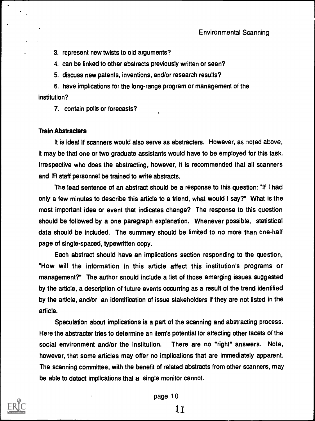3. represent new twists to old arguments?

4. can be linked to other abstracts previously written or seen?

5. discuss new patents, inventions, and/or research results?

6. have implications for the long-range program or management of the institution?

7. contain polls or forecasts?

## Train Abstracters

It is ideal if scanners would also serve as abstracters. However, as noted above, it may be that one or two graduate assistants would have to be employed for this task. Irrespective who does the abstracting, however, it is recommended that all scanners and IR staff personnel be trained to write abstracts.

The lead sentence of an abstract should be a response to this question: "If I had only a few minutes to describe this article to a friend, what would I say?" What is the most important idea or event that indicates change? The response to this question should be followed by a one paragraph explanation. Whenever possible, statistical data should be included. The summary should be limited to no more than one-half page of single-spaced, typewritten copy.

Each abstract should have an implications section responding to the question, "How will the information in this article affect this institution's programs or management?" The author snould include a list of those emerging issues suggested by the article, a description of future events occurring as a result of the trend identified by the article, and/or an identification of issue stakeholders if they are not listed in the article.

Speculation about implications is a part of the scanning and abstracting process. Here the abstracter tries to determine an item's potential for affecting other facets of the social environment and/or the institution. There are no "right" answers. Note, however, that some articles may offer no implications that are immediately apparent. The scanning committee, with the benefit of related abstracts from other scanners, may be able to detect implications that a single monitor cannot.



page 10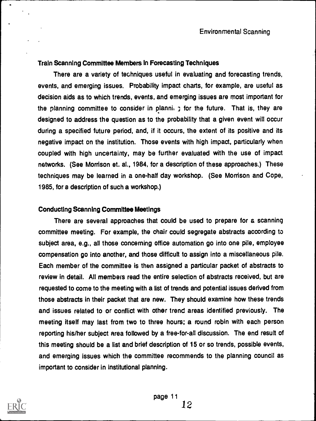## Train Scanning Committee Members in Forecasting Techniques

There are a variety of techniques useful in evaluating and forecasting trends, events, and emerging issues. Probability impact charts, for example, are useful as decision aids as to which trends, events, and emerging issues are most important for the planning committee to consider in planni,  $\gamma$  for the future. That is, they are designed to address the question as to the probability that a given event will occur during a specified future period, and, if it occurs, the extent of its positive and its negative impact on the institution. Those events with high impact, particularly when coupled with high uncertainty, may be further evaluated with the use of impact networks. (See Morrison et. al., 1984, for a description of these approaches.) These techniques may be learned in a one-half day workshop. (See Morrison and Cope, 1985, for a description of such a workshop.)

#### Conducting Scanning Committee Meetings

There are several approaches that could be used to prepare for a scanning committee meeting. For example, the chair could segregate abstracts according to subject area, e.g., all those concerning office automation go into one pile, employee compensation go into another, and those difficult to assign into a miscellaneous pile. Each member of the committee is then assigned a particular packet of abstracts to review in detail. All members read the entire selection of abstracts received, but are requested to come to the meeting with a list of trends and potential issues derived from those abstracts in their packet that are new. They should examine how these trends and issues related to or conflict with other trend areas identified previously. The meeting itself may last from two to three hours; a round robin with each person reporting his/her subject area followed by a free-for-all discussion. The end result of this meeting should be a list and brief description of 15 or so trends, possible events, and emerging issues which the committee recommends to the planning council as important to consider in institutional planning.

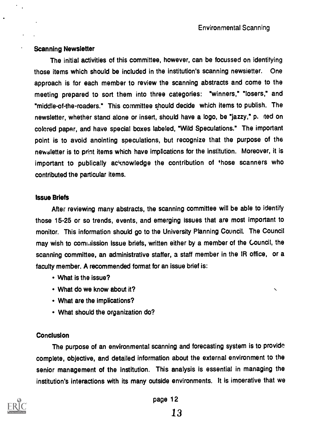#### Scanning Newsletter

The initial activities of this committee, however, can be focussed on identifying those items which should be included in the institution's scanning newsietter. One approach is for each member to review the scanning abstracts and come to the meeting prepared to sort them into three categories: "winners," "losers," and "middle-of-the-roaders." This committee should decide which items to publish. The newsletter, whether stand alone or insert, should have a logo, be "jazzy," p. ited on colored paper, and have special boxes labeled, "Wild Speculations." The important point is to avoid anointing speculations, but recognize that the purpose of the newsletter is to print items which have implications for the institution. Moreover, it is important to publically acknowledge the contribution of those scanners who contributed the particular items.

#### Issue Briefs

After reviewing many abstracts, the scanning committee will be able to identify those 15-25 or so trends, events, and emerging issues that are most important to monitor. This information should go to the University Planning Council. The Council may wish to commission issue briefs, written either by a member of the Council, the scanning committee, an administrative staffer, a staff member in the IR office, or a faculty member. A recommended format for an issue brief is:

- What is the issue?
- What do we know about it?
- What are the implications?
- What should the organization do?

## **Conclusion**

The purpose of an environmental scanning and forecasting system is to provide complete, objective, and detailed information about the external environment to the senior management of the institution. This analysis is essential in managing the institution's interactions with its many outside environments. It is imperative that we



page 12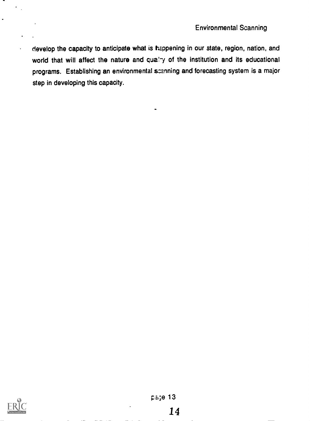develop the capacity to anticipate what is happening in our state, region, nation, and world that will affect the nature and quality of the institution and its educational programs. Establishing an environmental scanning and forecasting system is a major step in developing this capacity.



 $\epsilon_{\rm{eff}}$ 

 $\overline{a}$ 

 $\ddot{\phantom{0}}$ 

 $\bullet$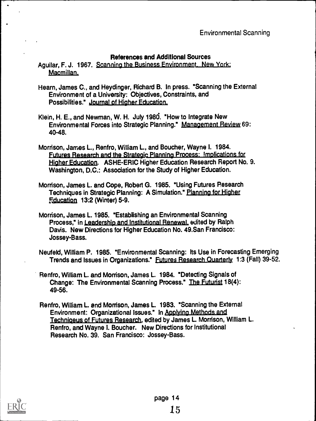# References and Additional Sources

Aguilar, F. J. 1967. Scanning the Business Environment. New York: Macmillan.

- Hearn, James C., and Heydinger, Richard B. In press. "Scanning the External Environment of a University: Objectives, Constraints, and Possibilities." Journal of Higher Education.
- Klein, H. E., and Newman, W. H. July 198d. "How to Integrate New Environmental Forces into Strategic Planning." Management Review 69: 40-48.
- Morrison, James L., Renfro, William L, and Boucher, Wayne I. 1984. Futures Research and the Strategic Planning Process: Implications for Higher Education. ASHE-ERIC Higher Education Research Report No. 9. Washington, D.C.: Association for the Study of Higher Education.
- Morrison, James L. and Cope, Robert G. 1985. "Using Futures Research Techniques in Strategic Planning: A Simulation." Planning for Higher Education 13:2 (Winter) 5-9.
- Morrison, James L. 1985. "Establishing an Environmental Scanning Process," in Leadership and Institutional Renewal. edited by Ralph Davis. New Directions for Higher Education No. 49.San Francisco: Jossey-Bass.
- Neufeld, William P. 1985. "Environmental Scanning: Its Use in Forecasting Emerging Trends and Issues in Organizations." Futures Research Quarterly 1:3 (Fall) 39-52.
- Renfro, William L. and Morrison, James L. 1984. "Detecting Signals of Change: The Environmental Scanning Process." The Futurist 18(4): 49-56.
- Renfro, William L. and Morrison, James L. 1983. "Scanning the External Environment: Organizational Issues." In Applying Methods and Techniqeus of Futures Research, edited by James L. Morrison, William L. Renfro, and Wayne I. Boucher. New Directions for Institutional Research No. 39. San Francisco: Jossey-Bass.



 $\ddot{\phantom{a}}$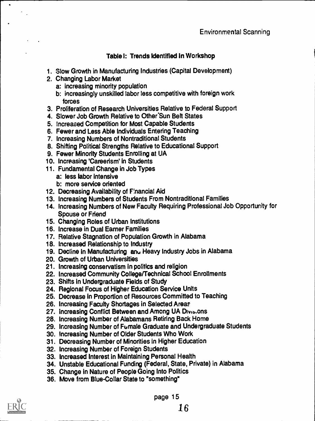# Table I: Trends Identified in Workshop

- 1. Slow Growth in Manufacturing Industries (Capital Development)
- 2. Changing Labor Market
	- a: increasing minority population
	- b: increasingly unskilled labor less competitive with foreign work forces
- 3. Proliferation of Research Universities Relative to Federal Support
- 4. Slower Job Growth Relative to Other Sun Belt States
- 5. Increased Competition for Most Capable Students
- 6. Fewer and Less Able Individuals Entering Teaching
- 7. Increasing Numbers of Nontraditional Students
- 8. Shifting Political Strengths Relative to Educational Support
- 9. Fewer Minority Students Enrolling at UA
- 10. Increasing 'Careerism' in Students
- 11. Fundamental Change in Job Types
	- a: less labor intensive
	- b: more service oriented
- 12. Decreasing Availability of Financial Aid
- 13. Increasing Numbers of Students From Nontraditional Families
- 14. Increasing Numbers of New Faculty Requiring Professional Job Opportunity for Spouse or Friend
- 15. Changing Roles of Urban Institutions
- 16. Increase in Dual Earner Families
- 17. Relative Stagnation of Population Growth in Alabama
- 18. Increased Relationship to Industry
- 19. Decline in Manufacturing anu Heavy Industry Jobs in Alabama
- 20. Growth of Urban Universities
- 21. Increasing conservatism in politics and religion
- 22. Increased Community College/Technical School Enrollments
- 23. Shifts in Undergraduate Fields of Study
- 24. Regional Focus of Higher Education Service Units
- 25. Decrease in Proportion of Resources Committed to Teaching
- 26. Increasing Faculty Shortages in Selected Areas
- 27. Increasing Conflict Between and Among UA Divisions
- 28. Increasing Number of Alabamans Retiring Back Home
- 29. Increasing Number of Fumale Graduate and Undergraduate Students
- 30. Increasing Number of Older Students Who Work
- 31. Decreasing Number of Minorities in Higher Education
- 32. Increasing Number of Foreign Students
- 33. Increased Interest in Maintaining Personal Health
- 34. Unstable Educational Funding (Federal, State, Private) in Alabama
- 35. Change in Nature of People Going Into Politics
- 36. Move from Blue-Collar State to "something"



page 15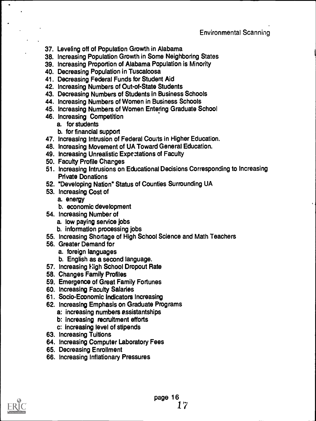# Environmental Scanning

- 37. Leveling off of Population Growth in Alabama
- 38. Increasing Population Growth in Some Neighboring States
- 39. Increasing Proportion of Alabama Population is Minority
- 40. Decreasing Population in Tuscaloosa
- 41. Decreasing Federal Funds for Student Aid
- 42. Increasing Numbers of Out-of-State Students
- 43. Decreasing Numbers of Students in Business Schools
- 44. Increasing Numbers of Women in Business Schools
- 45. Increasing Numbers of Women Entering Graduate School
- 46. Increasing Competition
	- a. for students
	- b. for financial support
- 47. Increasing Intrusion of Federal Courts in Higher Education.
- 48. Increasing Movement of UA Toward General Education.
- 49. Increasing Unrealistic Expectations of Faculty
- 50. Faculty Profile Charges
- 51. Increasing Intrusions on Educational Decisions Corresponding to Increasing Private Donations
- 52. "Developing Nation" Status of Counties Surrounding UA
- 53. Increasing Cost of
	- a. energy
	- b. economic development
- 54. Increasing Number of
	- a. low paying service jobs
	- b. information processing jobs
- 55. Increasing Shortage of High School Science and Math Teachers
- 56. Greater Demand for
	- a. foreign languages
	- b. English as a second language.
- 57. Increasing High School Dropout Rate
- 58. Changes Family Profiles
- 59. Emergence of Great Family Fortunes
- 60. Increasing Faculty Salaries
- 61. Socio-Economic Indicators Increasing
- 62. Increasing Emphasis on Graduate Programs
	- a: increasing numbers assistantships
	- b: increasing recruitment efforts
	- c: increasing level of stipends
- 63. Increasing Tuitions
- 64. Increasing Computer Laboratory Fees
- 65. Decreasing Enrollment
- 66. Increasing Inflationary Pressures

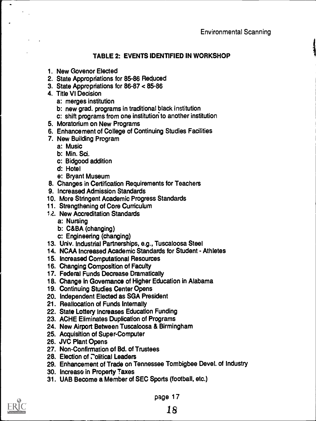# TABLE 2: EVENTS IDENTIFIED IN WORKSHOP

- 1. New Govenor Elected
- 2. State Appropriations for 85-86 Reduced
- 3. State Appropriations for 86-87 < 85-86
- 4. Title VI Decision
	- a: merges institution
	- b: new grad. programs in traditional black institution
	- c: shift programs from one institution to another institution
- 5. Moratorium on New Programs
- 6. Enhancement of College of Continuing Studies Facilities
- 7. New Building Program
	- a: Music
	- b: Min. Sci.
	- c: Bidgood addition
	- d: Hotel
	- e: Bryant Museum
- 8. Changes in Certification Requirements for Teachers
- 9. Increased Admission Standards
- 10. More Stringent Academic Progress Standards
- 11. Strengthening of Core Curriculum
- 12. New Accreditation Standards
	- a: Nursing
	- b: C&BA (changing)
	- c: Engineering (changing)
- 13. Univ. Industrial Partnerships, e.g., Tuscaloosa Steel
- 14. NCAA Increased Academic Standards for Student Athletes
- 15. Increased Computational Resources
- 16. Changing Composition of Faculty
- 17. Federal Funds Decrease Dramatically
- 18. Change in Governance of Higher Education in Alabama
- 19. Continuing Studies Center Opens
- 20. Independent Elected as SGA President
- 21. Reallocation of Funds Internally
- 22. State Lottery Increases Education Funding
- 23. ACHE Eliminates Duplication of Programs
- 24. New Airport Between Tuscaloosa & Birmingham
- 25. Acquisition of Super-Computer
- 26. JVC Plant Opens
- 27. Non-Confirmation of Bd. of Trustees
- 28. Election of Tolitical Leaders
- 29. Enhancement of Trade on Tennessee Tombigbee Devel. of Industry
- 30. Increase in Property Taxes
- 31. UAB Become a Member of SEC Sports (football, etc.)



page 17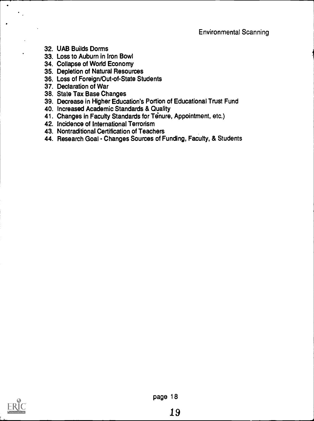- 32. UAB Builds Dorms
- 33. Loss to Auburn in Iron Bowl
- 34. Collapse of World Economy
- 35. Depletion of Natural Resources
- 36. Loss of Foreign/Out-of-State Students
- 37. Declaration of War
- 38. State Tax Base Changes
- 39. Decrease in Higher Education's Portion of Educational Trust Fund
- 40. Increased Academic Standards & Quality
- 41. Changes in Faculty Standards for Tenure, Appointment, etc.)
- 42. Incidence of International Terrorism
- 43. Nontraditional Certification of Teachers
- 44. Research Goal Changes Sources of Funding, Faculty, & Students

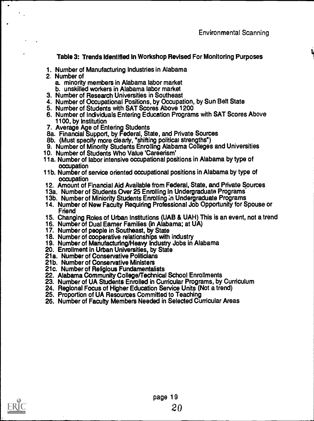## Table 3: Trends Identified in Workshop Revised For Monitoring Purposes

- 1. Number of Manufacturing Industries in Alabama
- 2. Number of
	- a. minority members in Alabama labor market
	- b. unskilled workers in Alabama labor market
- 3. Number of Research Universities in Southeast
- 4. Number of Occupational Positions, by Occupation, by Sun Belt State
- 5. Number of Students with SAT Scores Above 1200
- 6. Number of Individuals Entering Education Programs with SAT Scores Above 1100, by Institution
- 7. Average Age of Entering Students
- 8a. Financial Support, by Federal, State, and Private Sources
- 8b. (Must specify more clearly, "shifting political strengths")
- 9. Number of Minority Students Enrolling Alabama Colleges and Universities
- 10. Number of Students Who Value 'Careerism'
- 11a. Number of labor intensive occupational positions in Alabama by type of occupation
- 11b. Number of service oriented occupational positions in Alabama by type of occupation
- 12. Amount of Financial Aid Available from Federal, State, and Private Sources
- 13a. Number of Students Over 25 Enrolling in Undergraduate Programs
- 13b. Number of Miniority Students Enrolling ;n Undergraduate Programs
- 14. Number of New Faculty Requiring Professional Job Opportunity for Spouse or Friend
- 15. Changing Roles of Urban Institutions (UAB & UAH) This is an event, not a trend
- 16. Number of Dual Earner Families (in Alabama; at UA)
- 17. Number of people in Southeast, by State
- 18. Number of cooperative relationships with industry
- 19. Number of Manufacturing/Heavy Industry Jobs in Alabama
- 20. Enrollment In Urban Universities, by State
- 21a. Number of Conservative Politicians
- 21b. Number of Conservative Ministers
- 21c. Number of Religious Fundamentalists
- 22. Alabama Community College/Technical School Enrollments
- 23. Number of UA Students Enrolled in Curricular Programs, by Curriculum
- 24. Regional Focus of Higher Education Service Units (Not a trend)
- 25. Proportion of UA Resources Committed to Teaching
- 26. Number of Faculty Members Needed in Selected Curricular Areas

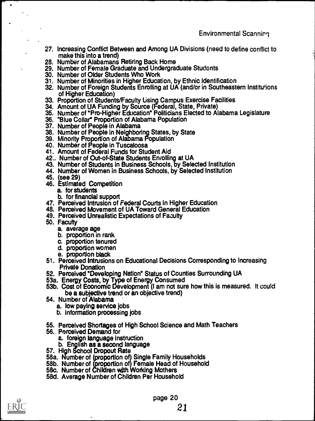- 27. Increasing Conflict Between and Among UA Divisions (need to define conflict to make this into a trend)
- 28. Number of Alabamans Retiring Back Home
- 29. Number of Female Graduate and Undergraduate Students
- 30. Number of Older Students Who Work
- 31. Number of Minorities in Higher Education, by Ethnic Identification
- 32. Number of Foreign Students Enrolling at UA (and/or in Southeastern Institutions of Higher Education)
- 33. Proportion of Students/Faculty Using Campus Exercise Facilities
- 34. Amount of UA Funding by Source (Federal, State, Private)
- 35. Number of "Pro-Higher Education" Politicians Elected to Alabama Legislature
- 36. "Blue Collar" Proportion of Alabama Population
- 37. Number of People in Alabama
- 38. Number of People in Neighboring. States, by State
- 39. Minority Proportion of Alabama Population
- 40. Number of People in Tuscaloosa
- 41. Amount of Federal Funds for Student Aid
- 42.. Number of Out-of-State Students Enrolling at UA
- 43. Number of Students in Business Schools, by Selected Institution
- 44. Number of Women in Business Schools, by Selected Institution
- 45. (see 29)
- 46. Estimated Competition
	- a. for students
	- b. for financial support
- 47. Perceived Intrusion of Federal Courts in Higher Education
- 48. Perceived Movement of UA Toward General Education
- 49. Perceived Unrealistic Expectations of Faculty
- 50. Faculty
	- a. average age
	- b. proportion in rank
	- c. proportion tenured
	- d. proportion women
	- e. proportion black
- 51. Perceived Intrusions on Educational Decisions Corresponding to Increasing Private Donation
- 52. Perceived "Developing Nation" Status of Counties Surrounding UA
- 53a. Energy Costs, by Type of Energy Consumed
- 53b. Cost of Economic Development (I am not sure how this is measured. It could be a subjective trend or an objective trend)
- 54. Number of Alabama
	- a. low paying service jobs
	- b. information processing jobs
- 55. Perceived Shortages of High School Science and Math Teachers
- 56. Perceived Demand for
	- a. foreign language instruction
	- b. English as a second language
- 57. High School Dropout Rate

ı,

- 58a. Number of (proportion of) Single Family Households
- 58b. Number of (proportion of) Female Head of Household
- 58c. Number of Children with Working Mothers
- 58d. Average Number of Children Per Household

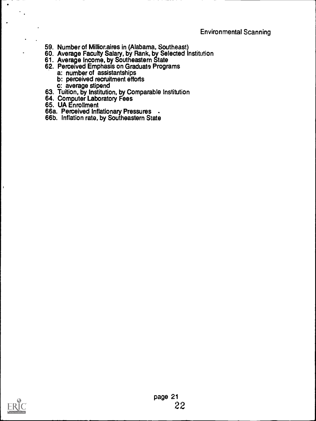- 59. Number of Millionaires in (Alabama, Southeast)
- 60. Average Faculty Salary, by Rank, by Selected Institution
- 61. Average Income, by Southeastern State
- 62. Perceived Emphasis on Graduate Programs
	- a: number of assistantships
	- b: perceived recruitment efforts
	- c: average stipend
- 63. Tuition, by Institution, by Comparable Institution
- 64. Computer Laboratory Fees
- 65. UA Enrollment

 $\bullet$ 

 $\mathbf{r}$ 

- 66a. Perceived Inflationary Pressures -
- 66b. Inflation rate, by Southeastern State

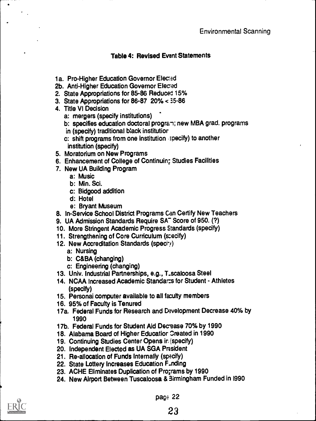# Table 4: Revised Event Statements

- 1a. Pro-Higher Education Governor Elected
- 2b. Anti-Higher Education Governor Eleced
- 2. State Appropriations for 85-86 Reduced 15%
- 3. State Appropriations for 86-87 20% < 35-86
- 4. Title VI Decision
	- a: mergers (specify institutions)
	- b: specifies education doctoral program; new MBA grad. programs
	- in (specify) traditional black institutior
	- c: shift programs from one institution specify) to another institution (specify)
- 5. Moratorium on New Programs
- 6. Enhancement of College of Continuin; Studies Facilities
- 7. New UA Building Program
	- a: Music
	- b: Min. Sci.
	- c: Bidgood addition
	- d: Hotel
	- e: Bryant Museum
- 8. In-Service School District Programs Can Certify New Teachers
- 9. UA Admission Standards Require SA<sup>-</sup> Score of 950. (?)
- 10. More Stringent Academic Progress Standards (specify)
- 11. Strengthening of Core Curriculum (scecify)
- 12. New Accreditation Standards (specity)
	- a: Nursing
	- b: C&BA (changing)
	- c: Engineering (changing)
- 13. Univ. Industrial Partnerships, e.g., T\_scaloosa Steel
- 14. NCAA Increased Academic Standarts for Student Athletes (specify)
- 15. Personai computer available to all faculty members
- 16. 95% of Faculty is Tenured
- 17a. Federal Funds for Research and Development Decrease 40% by 1990
- 17b. Federal Funds for Student Aid Decease 70% by 1990
- 18. Alabama Board of Higher Educatior Oreated in 1990
- 19. Continuing Studies Center Opens ir (specify)
- 20. Independent Elected as UA SGA Prssident
- 21. Re-allocation of Funds Internally (specify)
- 22. State Lottery Increases Education F.nding
- 23. ACHE Eliminates Duplication of Programs by 1990
- 24. New Airport Between Tuscaloosa & 3irmingham Funded in 1990



 $\bullet$ 

pao $: 22$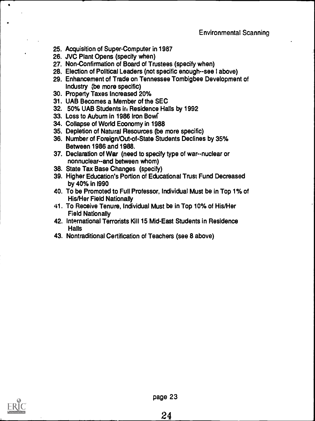- 25. Acquisition of Super-Computer in 1987
- 26. JVC Plant Opens (specify when)
- 27. Non-Confirmation of Board of Trustees (specify when)
- 28. Election of Political Leaders (not specific enough--see I above)
- 29. Enhancement of Trade on Tennessee Tombigbee Development of Industry (be more specific)
- 30. Property Taxes Increased 20%
- 31. UAB Becomes a Member of the SEC
- 32. 50% UAB Students in Residence Halls by 1992
- 33. Loss to Auburn in 1986 Iron Bowl
- 34. Collapse of World Economy in 1988
- 35. Depletion of Natural Resources (be more specific)
- 36. Number of Foreign/Out-of-State Students Declines by 35% Between 1986 and 1988.
- 37. Declaration of War (need to specify type of war--nuclear or nonnuclear--and between whom)
- 38. State Tax Base Changes (specify)
- 39. Higher Education's Portion of Educational Trust Fund Decreased by 40% in 1990
- 40. To be Promoted to Full Professor, Individual Must be in Top 1% of His/Her Field Nationally
- 41. To Receive Tenure, Individual Must be in Top 10% of His/Her Field Nationally
- 42. International Terrorists Kill 15 Mid-East Students in Residence **Halls**
- 43. Nontraditional Certification of Teachers (see 8 above)

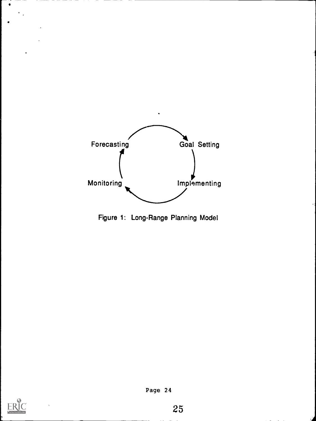

Figure 1: Long-Range Planning Model



 $\bullet$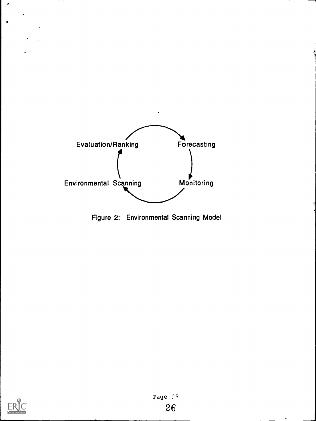

Figure 2: Environmental Scanning Model



 $\bullet$ 

 $\bullet$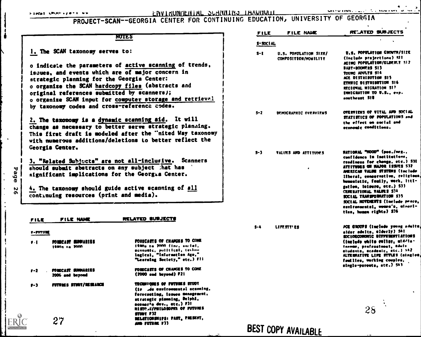$\frac{1}{4}$ 

. • I

#### Ok.A4..\$0iw u LNVIMUWILMAL PROJECT-SCAN--GEORGIA CENTER FOR CONTINUING EDUCATION, UNIVERSITY OF GEORGIA

#### /MILS

1. The SCAN taxonomy serves to:

o indicate the parameters of active scanning of trends. Isaues, and events which are of major concern in strategic planning for the Georgia Center: o organise the SCAN hardcopy files (abstracts and original references submitted by scanners); o organize SCAN input for computer storage and retrieval by taxonomy codes and cross-reference codes.

 $2.$  The taxonomy is a dynamic scanning aid. It will change as necessary to better serve strategic planning. This first draft is modeled after the "nited Way taxonomy with numerous additions/deletions to better reflect the Georgia Center.

3. "Related Subjects" are not all-inclusive. Scanners should submit abstracts on any subject ;hat has significant implications for the Georgia Center.

4. The taxonomy should guide active scanning of all continuing resources (print and media).

# FILE FILE NAME RELATED SUBJECTS

#### <sup>r</sup>-MUIR

IJ نو<br>ه  $\overline{\mathbf{0}}$ N ഹ

> PEI MONECAST EURRAIISS lame ,. /mon

> > 27

economic, pulltical, techno legical, "Information Age." \*Leasing Society," me.) Fll PI FOSICAST SUMMARIES WOIRCASTS Or CHANCES TO CONE 2006 eel berm/ (2000 ad agreed) F21

FORECASTS OF CHANGES TO COME itana to 2000 (Inv. enrial.

P-3 MUTURES STUDY/RESEARCH TECHNIQUES OF PUTURES STUDY (in de environmental aconsing. forecasting, teaues menagement. strategic planning, Delphi, scenar<sup>i</sup>o dev., etc.) F31 strartAlirsuessmn OF MONIS STUDI FJZ ABLATIOOSNIPSt PAST, PIESENT, AND FUTURE F33

| FILE     | <b>FILE NAME</b>                              | RELATED SUBJECTS                                                                                                                                                                                                                                                                                                                                                                                                                                 |
|----------|-----------------------------------------------|--------------------------------------------------------------------------------------------------------------------------------------------------------------------------------------------------------------------------------------------------------------------------------------------------------------------------------------------------------------------------------------------------------------------------------------------------|
| S-SOCIAL |                                               |                                                                                                                                                                                                                                                                                                                                                                                                                                                  |
| $S-1$    | U.S. POPULATION SIZE/<br>COMPOSITION/MONILITY | <b>U.S. POPULATION CROWIN/SIZE</b><br>(Include projections) SII<br>ACTNC POPULATION/ELDEN.Y SIZ<br><b>BART-BOOMTRES SIS</b><br>TOURG ADULTS SI4<br>ACE DISTRIBUTION SIS<br><b>ETHNIC DISTRIBUTION SIS</b><br>REGIONAL NIGRATION SI?<br>INNICRATION TO U.S., exp.<br>aoutheant SIB                                                                                                                                                                |
| $S-2$    | DEMOGRAPHIC OVERVIEWS                         | OVERVIEWS OF VITAL AND SOCIAL<br>STATISTICS OF POPULATIONS and<br>the effect on social and<br>economic conditions.                                                                                                                                                                                                                                                                                                                               |
| $S-3$    | VALUES AND ATTITUDES                          | HATIORAL "HOOD" (pos./neg.,<br>confidence in institutions.<br>readineas for change, etc.) S)[<br><b>ATTITUDES ON HAJOR ISSUES SIZ</b><br>MERICAN VALUE STSTENS (Include<br>liberal, conservative, religious.<br>humanistic, femily, work, litt-<br>gation, leloure, etc.) \$33<br><b>CENERATIONAL VALUES S34</b><br>SOCIAL TRANSPOWARTION S35<br>SOCIAL HOVENENTS (Include prace,<br>eavironmental, women's, minori-<br>tion, homen rights) \$36 |
| s-a      | LIFF.STT'ES                                   | <b>ACE GROUPS (Include young adults)</b><br>alder adults, elderly) SAI<br>SOCIORCONOMIC DIFFURNTIATIONS<br>(include white coller, atddier<br><b>Income, professional, Edule</b><br>studenta, acadestc, etc.) 542<br>ALTERNATIVE LIFE STTLES (singles,<br>faullies, working couples,<br>single-parents, atc.) 543                                                                                                                                 |
|          |                                               |                                                                                                                                                                                                                                                                                                                                                                                                                                                  |

BEST COPY AVAILABLE

28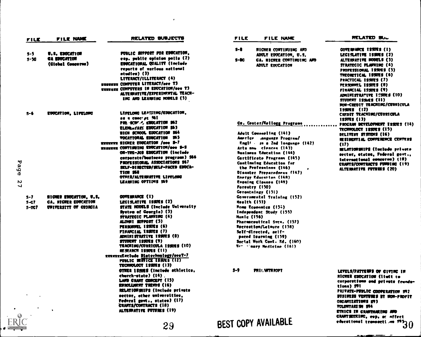| <b>FILE NAME</b><br>FILE                                                                                       | RELATED SUBJECTS                                                                                                                                                                                                                                                                                                                                                                                                                                                                        | <b>FILE</b><br>FILE NAME                                                                                                                                                                                                                                                                                                                                                                                           | RELATED SUL                                                                                                                                                                                                                                                                                                                                            |
|----------------------------------------------------------------------------------------------------------------|-----------------------------------------------------------------------------------------------------------------------------------------------------------------------------------------------------------------------------------------------------------------------------------------------------------------------------------------------------------------------------------------------------------------------------------------------------------------------------------------|--------------------------------------------------------------------------------------------------------------------------------------------------------------------------------------------------------------------------------------------------------------------------------------------------------------------------------------------------------------------------------------------------------------------|--------------------------------------------------------------------------------------------------------------------------------------------------------------------------------------------------------------------------------------------------------------------------------------------------------------------------------------------------------|
| U.S. EDUCATION<br>s-s<br>CA EDUCATION<br>$3 - 5C$<br>(Clobal Concerne)                                         | PUBLIC SUPPORT FOR EDUCATION,<br>esp. public opinion polis (2)<br><b>ESUCATIONAL QUALITY (Include)</b><br>reports of various national<br>atudies) (J)<br>LITERACY/ILLITERACY (4)<br><b>HEEREER CONFUTER LITERACT/see T3</b><br><b>REFEREE CONFUTERS IN EDUCATION/see T3</b><br>ALTERNATIVE/EXPERIMENTAL TEACH-<br>INC AND LEANNING HODELS (5)                                                                                                                                           | $S-8$<br><b>WICHER CONTINUING AND</b><br>ADULT EDUCATION, U.S.<br>$S-BC$<br>CA. RICHER CONTINUING AND<br>ADULT EDUCATION                                                                                                                                                                                                                                                                                           | COVERNMEE ESSUES (1)<br>LEGISLATIVE ISSUES (2)<br>ALTERRATIVE HODELS (3)<br>STRATEGIC PLANNING (4)<br>PROPRSSIONAL ISSUES (5)<br>THEORETICAL ISSUES (6)<br>PRACTICAL ISSUES (7)<br>PERSONNEL ISSUES (8)<br>FINANCIAL ISSUES (?)<br>ADMINISTRATIVE 1950ES (10)<br>STUDENT ISSUES (11)<br><b>RON-CREDIT TEACRING/CURRICULA</b>                           |
| $S - 6$<br>EDUCATION, LIFELONG<br>Page<br>Z<br>$\overline{\phantom{0}}$                                        | LIFELONG LEASTING/EDUCATION,<br>as a concret Mi<br><b>PRE-SCRY-4, KOUCATION 962</b><br>ELEMENTARY EDUCATION \$63<br><b>BIGH SCHOOL EDUCATION S44</b><br>VOCATIONAL EDUCATION 565<br><b>RESERVED RIGHER EDUCATION /see 9-7</b><br>REERRER CONTINUING EDUCATION/see S-S<br>ON-TRE-JOB EDUCATION (include<br>cornorate/business program) 566<br>PROFESSIONAL ASSOCIATIONS S67<br>SELF-DI RECTED/SELF-PACED EDUCA-<br><b>TION 568</b><br>OTHER/ALTERWATIVE LIFELORG<br>LEARNING OPTIONS 569 | Co. Center/Kellogg Programs<br>Adult Counceling (141)<br>America Canguage Program/<br>Engl! - In a 2nd language (142)<br>Arta ano ciences (143)<br><b>Bunimenn Education (144)</b><br>Certificate Programs (145)<br>Continuing Education for<br>the Professions (146)<br>$\bullet$<br>Dinaater Preparedness (147)<br><b>Energy Education (IAR)</b><br>Evening Classes (149)<br>Forestry (150)<br>Gerontningy (151) | 155725 (12)<br>CREDIT TEACHING/CURRICULA<br>155753(13)<br>PROGRAM DEVELOPMENT ISSUES (14)<br>TECHNOLOGY ISSUES (15)<br>DELIVERY SYSTEMS (16)<br>RESIDENTIAL CONVERENCE CENTERS<br>(17)<br>MELATIORMITS (Taclade private<br>sector, otates, Federal govt.,<br>International concerne) (18)<br>CRANTS/CONTRACTS FUNDING (19)<br>ALTERNATIVE FUTURES (20) |
| RIGHER EDUCATION, U.S.<br>$S-7$<br><b>CA. NIGRER EDUCATION</b><br>$5-CT$<br>UNIVERSITY OF CEORCIA<br>$5 - 007$ | COVERFARCE (1)<br>LEGISLATIVE ISSUES (2)<br>STATE NODELS (Include University<br>System of Georgia) (3)<br>STRATEGIC PLANNING (4)<br>ALUMNI SUPPORT (5)<br>PERSONNEL ISSUES (6)<br>FIRANCIAL ISSUES (7)<br>ADVITI STRATIVE ISSUES (8)<br>STUDENT ISSUES (9)<br><b>TEACHING/CURRICULA ISSUES (10)</b><br><b>RESEARCH ISSUES (11)</b><br>EXEREELERClude Blotechnology/seeT-7<br>PUBLIC SERVICE ISSUES (12)<br>TECHNOLOGY ISSUES (13)                                                       | Covernmental Training (152)<br><b>Health (153)</b><br><b>Mome Economica (15:)</b><br>Independent Study (155)<br><b>Munic (156)</b><br>Pharmaceutical Svcn. (157)<br>Recreation/Lelaure (158)<br>Self-directed, self-<br>paced learning (159)<br>Social Work Cont. Ed. (160)<br>Vr: : nary Medicine (161)                                                                                                           |                                                                                                                                                                                                                                                                                                                                                        |
|                                                                                                                | OTHER ISSIES (Include athletics,<br>church-state) (14).<br>LAND CRAFT CORCEPT (15)<br><b><i>EXHOLLIBRET TREVOS (16)</i></b><br><b>RELATION SHIPS (Include private</b><br>sector, other universities,<br>Federal govt., states) (17)<br><b>CRANTS/CONTRACTS (18)</b><br>ALTERNATIVE FUIURES (19)                                                                                                                                                                                         | $3-9$<br>PR I I. WITH ROPT                                                                                                                                                                                                                                                                                                                                                                                         | LEVELS/PATTENTS OF CIVING IN<br>RIGHER EDUCATION (light to<br>corporations and private feunda-<br>tiona) SVI<br>PRIVATE-PUBLIC COOPERATION SYZ<br>SUSINESS VENTURES ST HOR-PROFIT<br>ORCANIZATIONS STJ<br>VOLUNTARI SH SP4<br><b>ETHICS IN CRAFTHARING AND</b>                                                                                         |
| ERIC                                                                                                           | 29                                                                                                                                                                                                                                                                                                                                                                                                                                                                                      | BEST COPY AVAILABLE                                                                                                                                                                                                                                                                                                                                                                                                | CRATTSERLING, THE   5930                                                                                                                                                                                                                                                                                                                               |

 $\epsilon$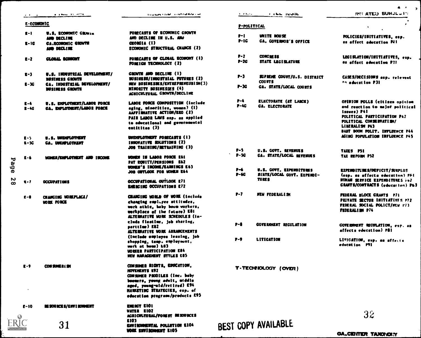|  | a albama. It is the mail |  |  |
|--|--------------------------|--|--|
|  |                          |  |  |
|  |                          |  |  |

**Country Cold Constitution** 

HOER INVIOONNOR 1103

n. little income  $\mathbf{A}=\mathbf{A}^T\mathbf{A}+\mathbf{A}$  .

POLICIES/INITIATIVES, esp. ss affect education P11

 $\bullet$ 

 $4 \cdot 2$ 

A

#### E.-ECONOMIC

|          | E-ECUMUNIC          |                                                               |                                                                                                                                                                                                                         | P-POLITICAL       |                                                                       |
|----------|---------------------|---------------------------------------------------------------|-------------------------------------------------------------------------------------------------------------------------------------------------------------------------------------------------------------------------|-------------------|-----------------------------------------------------------------------|
|          | $R-1$               | U.S. ECONOMIC CIENAL<br>AMD DECLINE                           | FORECASTS OF ECONOMIC GROWTH<br>AND DECLINE IN U.S. AND                                                                                                                                                                 | P-1<br>$P-IC$     | <b>UNITE HOUSE</b><br><b>CA. COVERNOR'S OFFICE</b>                    |
|          | 2- IC               | <b>CA.ROONOMIC GROVTH</b><br>AND DECLINE                      | CEORGIA (I)<br><b>ECONOMIC STRUCTURAL CHANGE (2)</b>                                                                                                                                                                    |                   |                                                                       |
|          | $R-2$               | CLOBAL ECONOMY                                                | FORECASTS OF CLOBAL ECONOMY (1)<br><b>POBRICH TECHNOLOGY (2)</b>                                                                                                                                                        | P-2<br>$P-2G$     | <b>CONCIDE SS</b><br><b>STATE LEGISLATURE</b>                         |
|          | E-3                 | U.S. INDUSTRIAL DEVELOPMANT/<br><b><i>RUSTRESS CROVIT</i></b> | CROWTH AND DECLINE (1)<br>SUSINESS/INDUSTRIAL PUTURES (2)                                                                                                                                                               | P-3               | SUPRIME COURT/U.S. DISTRI                                             |
|          | 1-3C                | CA. INDUSTRIAL DEVELOPMENT/<br><b>DUSINESS CROWTH</b>         | NEW BUSINESSES/ENTREPRENEURISH(3)<br>NINORITY BUSINESSES (4)<br>ACRECULTURAL CROWTH/DECLENE                                                                                                                             | r-30              | <b>COUPTS</b><br><b>CA. STATE/LOCAL COURTS</b>                        |
|          | $L - 4$<br>$B - 4C$ | U.S. ENPLOYMENT/LABOR FORCE<br>CA. ENFLOTHERT/LABOR FORCE     | <b>LABOR FORCE COMPOSITION (include)</b><br>aging, minorities, women) (1)<br>AAFFINATIVE ACTION/EEO (2)<br>PAIR LABOR LAWS ass. as applied<br>to educational and governmental<br>entititas (3)                          | $P - 4$<br>$P-4G$ | <b>ELECTORATE (AT LABGE)</b><br><b><i>GA. ELECTORATE</i></b>          |
|          | $1 - 5$<br>$1 - 50$ | U.S. UNENPLOTMENT<br><b>CA. UNIUPLOTICKT</b>                  | <b>UNENPLOTMENT PORECASTS (1)</b><br>INNOVATIVE SOLUTIONS (2)<br>JOB TRAINING/METRAINING (3)                                                                                                                            |                   |                                                                       |
| Page     | $L - 6$             | <b>VOICE/ENPLOTHENT AND INCOME</b>                            | <b>MONEN IN LABOR FORCE ESI</b><br>PAT ROUITY/PENSIONS E42<br><b>MONER'S INCONE/EARNINGS E63</b>                                                                                                                        | P-5<br>$P-5C$     | U.S. COVT. REVENUES<br><b>CA. STATE/LOCAL REVERIES</b>                |
| N        |                     |                                                               | <b>JOB OFFLOOK FOR MONEM E64</b><br>OCCUPATIONAL OUTLOOK E71                                                                                                                                                            | P-6<br>P-66       | U.S. COVT. EXPENDITURES<br>SYATE/LOCAL COVT. EXPENDI-<br><b>TURES</b> |
| $\infty$ | $\bullet$           | <b>OCCUPATIONS</b>                                            | <b>ENERGING OCCUPATIONS E72</b>                                                                                                                                                                                         |                   |                                                                       |
|          | <b>E-B</b>          | CHANGING WORKPLACE/<br><b>MORE FORCE</b>                      | <b>CHANGING MORLE OF WORK (Include</b><br>changing employee attitudes,<br>work athic, baby boum vorkers,<br>workplace of the future) E81<br>ALTERNATIVE HORK SCHEDULES (In-                                             | P-7               | <b>NEW PROBRALISM</b>                                                 |
|          |                     |                                                               | clude fleetime, job sharing,<br>sarttim) E82<br>ALTERNATIVE VOIK ARRANCEMENTS                                                                                                                                           | r-1               | <b>COVERIOUST ELCULATION</b>                                          |
|          |                     |                                                               | (Include ouplayes leasing, job<br>shopping, tamp. employment,<br>work at home) 183<br><b><i>UDBERR PARTICIPATION E84</i></b><br><b><i>NEW HANAGEMENT STYLES EDS</i></b>                                                 | $P-9$             | <b>LITICATION</b>                                                     |
|          | $\mathbf{r}$        | COUSINE RISK                                                  | CONSUMER RIGHTS, EDUCATION,<br>HOVENENTS K92<br>CONSINER PRODILES (Inc. baby<br>boomers, young adult, middle<br>aged, young-old/retired) E94<br><b>HARKETING STRATEGIES, cap. of</b><br>education programs/products E95 |                   | T-TECHNOLOGY (OVER)                                                   |
|          | $E - 10$            | BE SOURCE S/ENV I ROMMENT                                     | ENERGY E101<br>VATER EIOZ<br>ACRECULTURAL/FOREST DE SOURCES                                                                                                                                                             |                   |                                                                       |
| ERIC     |                     | 31                                                            | E 103<br>ENVIRONMENTAL POLLUTION KIO4                                                                                                                                                                                   |                   | BEST COPY AVAILABLE                                                   |

| $P-2$<br>$P-2G$ | <b>CONCIDESS</b><br><b>STATE LEGISLATURE</b> | LEGI SLATION/INITIATIVES, esp.<br>as affact aducation P21 |
|-----------------|----------------------------------------------|-----------------------------------------------------------|
|                 |                                              |                                                           |
| P-3             | SUPRIME COURT/U.S. DISTRICT<br><b>COUPTS</b> | CASES/DECISIONS asp. relevent<br>th aducetion P31         |
| $-3c$           | CA. STATE/LOCAL COURTS                       |                                                           |
| $P-4$           | ELECTORATE (AT LABGE)                        | OPINION POLLS (citizen opinion                            |
| $P-4C$          | <b>GA. ELECTORATE</b>                        | and reaction to major political<br>laswea) P41            |
|                 |                                              | POLITICAL PARTICIPATION P42                               |
|                 |                                              | POLITICAL CONSERVATION/<br>LINERALISH P43                 |
|                 |                                              | BAST BOOM POLIT. INFLUENCE P44                            |
|                 |                                              | ACING POPULATION INFLUENCE PAS                            |
| P-5             | U.S. COVT. REVENUES                          | TAXES PSI                                                 |
| P-5G            | CA. STATE/LOCAL EXVENUES                     | <b>TAX REPOINT PS2</b>                                    |
| P-6             | U.S. COVT. EXPENDITURES                      | EXPENDITURES/DEFICIT/SURPLUS                              |

EIPENDITIMES/DtPICIT/SURPLUS (esp. as affects education) PFI RUNAN SERVICE EXPENDITULES : +2 GIAIITS/CONTRACTS (education) Pb)

FEDERAL RLOCE CRANTS P71 PRIVATE SECTOR INITIATIVES P72 FEDERAL SOCIAL FOLICT/NEw r/l FIDIRALIIN P74

COVERINGNT RECULATION, esp. as affects edecstion) PSI

LITIGATION, esp. as affetta education **ITI** 

32

# BEST COPY AVAILABLE